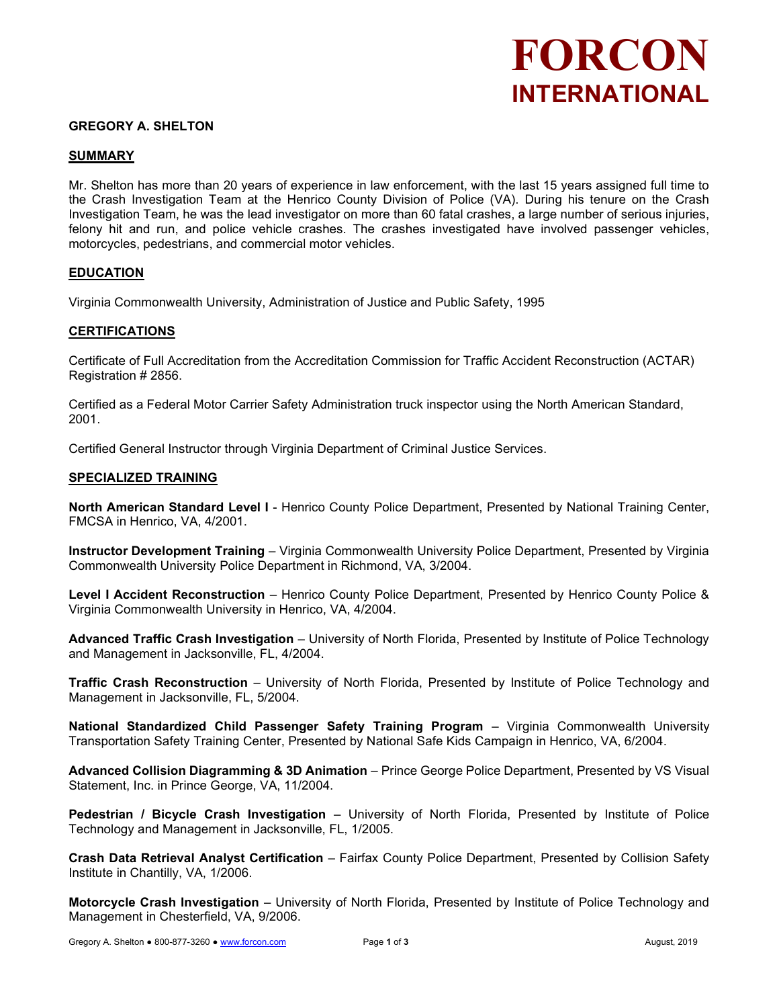# FORCON INTERNATIONAL

### GREGORY A. SHELTON

#### SUMMARY

Mr. Shelton has more than 20 years of experience in law enforcement, with the last 15 years assigned full time to the Crash Investigation Team at the Henrico County Division of Police (VA). During his tenure on the Crash Investigation Team, he was the lead investigator on more than 60 fatal crashes, a large number of serious injuries, felony hit and run, and police vehicle crashes. The crashes investigated have involved passenger vehicles, motorcycles, pedestrians, and commercial motor vehicles.

#### **EDUCATION**

Virginia Commonwealth University, Administration of Justice and Public Safety, 1995

#### **CERTIFICATIONS**

Certificate of Full Accreditation from the Accreditation Commission for Traffic Accident Reconstruction (ACTAR) Registration # 2856.

Certified as a Federal Motor Carrier Safety Administration truck inspector using the North American Standard, 2001.

Certified General Instructor through Virginia Department of Criminal Justice Services.

#### SPECIALIZED TRAINING

North American Standard Level I - Henrico County Police Department, Presented by National Training Center, FMCSA in Henrico, VA, 4/2001.

Instructor Development Training – Virginia Commonwealth University Police Department, Presented by Virginia Commonwealth University Police Department in Richmond, VA, 3/2004.

Level I Accident Reconstruction – Henrico County Police Department, Presented by Henrico County Police & Virginia Commonwealth University in Henrico, VA, 4/2004.

Advanced Traffic Crash Investigation – University of North Florida, Presented by Institute of Police Technology and Management in Jacksonville, FL, 4/2004.

Traffic Crash Reconstruction – University of North Florida, Presented by Institute of Police Technology and Management in Jacksonville, FL, 5/2004.

National Standardized Child Passenger Safety Training Program - Virginia Commonwealth University Transportation Safety Training Center, Presented by National Safe Kids Campaign in Henrico, VA, 6/2004.

Advanced Collision Diagramming & 3D Animation – Prince George Police Department, Presented by VS Visual Statement, Inc. in Prince George, VA, 11/2004.

Pedestrian / Bicycle Crash Investigation – University of North Florida, Presented by Institute of Police Technology and Management in Jacksonville, FL, 1/2005.

Crash Data Retrieval Analyst Certification – Fairfax County Police Department, Presented by Collision Safety Institute in Chantilly, VA, 1/2006.

Motorcycle Crash Investigation – University of North Florida, Presented by Institute of Police Technology and Management in Chesterfield, VA, 9/2006.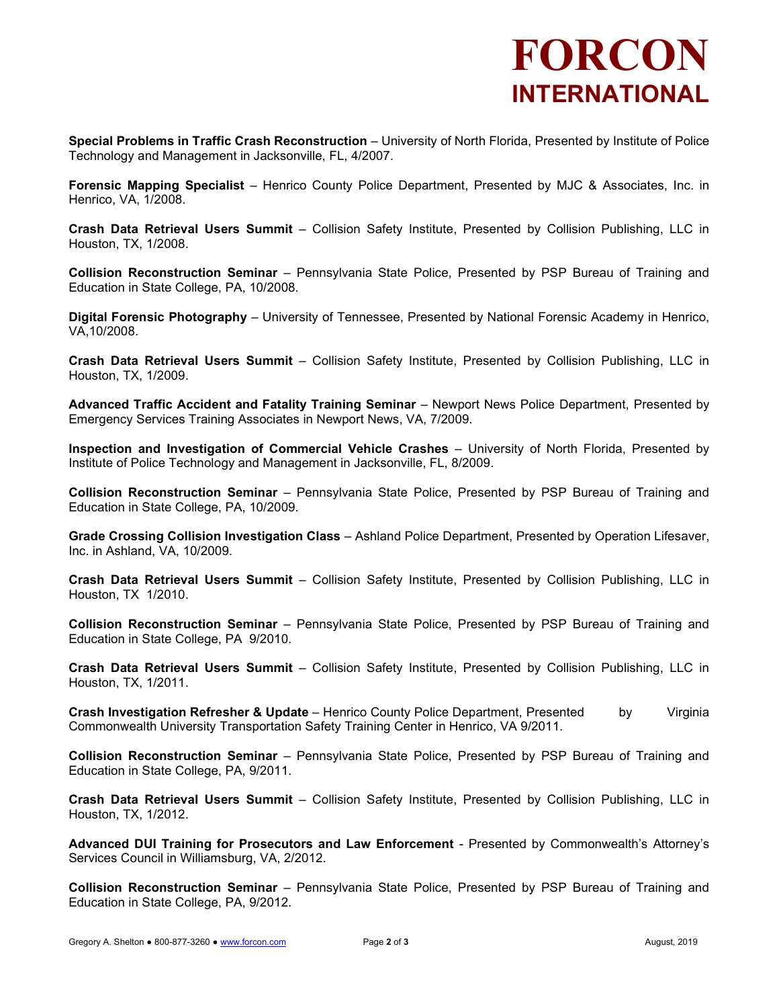# FORCON INTERNATIONAL

Special Problems in Traffic Crash Reconstruction – University of North Florida, Presented by Institute of Police Technology and Management in Jacksonville, FL, 4/2007.

Forensic Mapping Specialist – Henrico County Police Department, Presented by MJC & Associates, Inc. in Henrico, VA, 1/2008.

Crash Data Retrieval Users Summit – Collision Safety Institute, Presented by Collision Publishing, LLC in Houston, TX, 1/2008.

Collision Reconstruction Seminar - Pennsylvania State Police, Presented by PSP Bureau of Training and Education in State College, PA, 10/2008.

Digital Forensic Photography – University of Tennessee, Presented by National Forensic Academy in Henrico, VA,10/2008.

Crash Data Retrieval Users Summit – Collision Safety Institute, Presented by Collision Publishing, LLC in Houston, TX, 1/2009.

Advanced Traffic Accident and Fatality Training Seminar – Newport News Police Department, Presented by Emergency Services Training Associates in Newport News, VA, 7/2009.

Inspection and Investigation of Commercial Vehicle Crashes – University of North Florida, Presented by Institute of Police Technology and Management in Jacksonville, FL, 8/2009.

Collision Reconstruction Seminar – Pennsylvania State Police, Presented by PSP Bureau of Training and Education in State College, PA, 10/2009.

Grade Crossing Collision Investigation Class – Ashland Police Department, Presented by Operation Lifesaver, Inc. in Ashland, VA, 10/2009.

Crash Data Retrieval Users Summit – Collision Safety Institute, Presented by Collision Publishing, LLC in Houston, TX 1/2010.

Collision Reconstruction Seminar – Pennsylvania State Police, Presented by PSP Bureau of Training and Education in State College, PA 9/2010.

Crash Data Retrieval Users Summit – Collision Safety Institute, Presented by Collision Publishing, LLC in Houston, TX, 1/2011.

Crash Investigation Refresher & Update – Henrico County Police Department, Presented by Virginia Commonwealth University Transportation Safety Training Center in Henrico, VA 9/2011.

Collision Reconstruction Seminar - Pennsylvania State Police, Presented by PSP Bureau of Training and Education in State College, PA, 9/2011.

Crash Data Retrieval Users Summit – Collision Safety Institute, Presented by Collision Publishing, LLC in Houston, TX, 1/2012.

Advanced DUI Training for Prosecutors and Law Enforcement - Presented by Commonwealth's Attorney's Services Council in Williamsburg, VA, 2/2012.

Collision Reconstruction Seminar - Pennsylvania State Police, Presented by PSP Bureau of Training and Education in State College, PA, 9/2012.